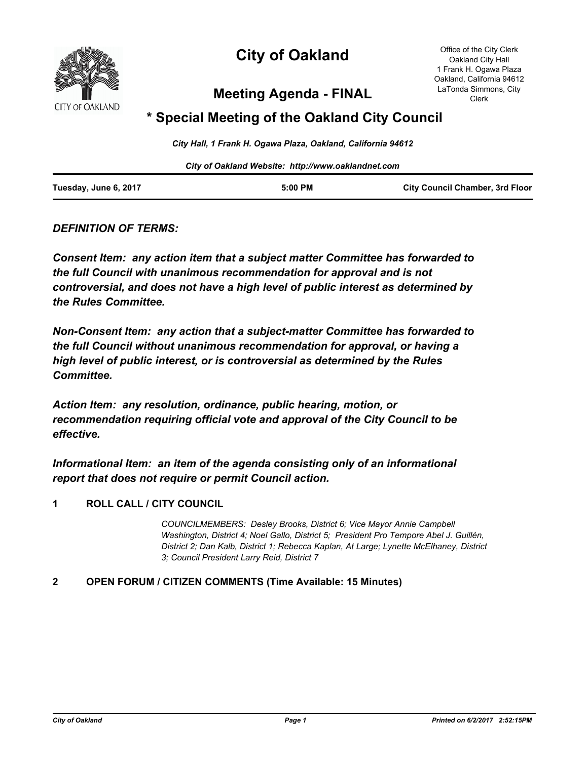

# **City of Oakland**

Office of the City Clerk Oakland City Hall 1 Frank H. Ogawa Plaza Oakland, California 94612 LaTonda Simmons, City Clerk

# **Meeting Agenda - FINAL**

# **\* Special Meeting of the Oakland City Council**

*City Hall, 1 Frank H. Ogawa Plaza, Oakland, California 94612*

*City of Oakland Website: http://www.oaklandnet.com*

| Tuesday, June 6, 2017 | 5:00 PM | <b>City Council Chamber, 3rd Floor</b> |
|-----------------------|---------|----------------------------------------|
|                       |         |                                        |

*DEFINITION OF TERMS:*

*Consent Item: any action item that a subject matter Committee has forwarded to the full Council with unanimous recommendation for approval and is not controversial, and does not have a high level of public interest as determined by the Rules Committee.*

*Non-Consent Item: any action that a subject-matter Committee has forwarded to the full Council without unanimous recommendation for approval, or having a high level of public interest, or is controversial as determined by the Rules Committee.*

*Action Item: any resolution, ordinance, public hearing, motion, or recommendation requiring official vote and approval of the City Council to be effective.*

*Informational Item: an item of the agenda consisting only of an informational report that does not require or permit Council action.*

## **1 ROLL CALL / CITY COUNCIL**

*COUNCILMEMBERS: Desley Brooks, District 6; Vice Mayor Annie Campbell Washington, District 4; Noel Gallo, District 5; President Pro Tempore Abel J. Guillén, District 2; Dan Kalb, District 1; Rebecca Kaplan, At Large; Lynette McElhaney, District 3; Council President Larry Reid, District 7*

## **2 OPEN FORUM / CITIZEN COMMENTS (Time Available: 15 Minutes)**